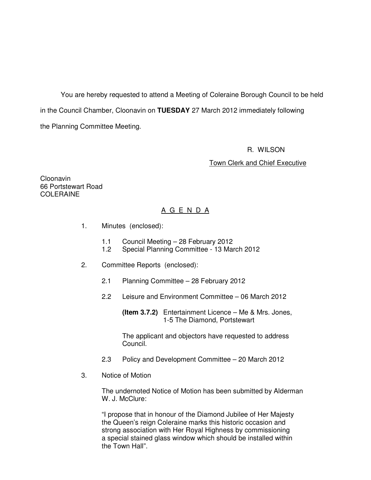You are hereby requested to attend a Meeting of Coleraine Borough Council to be held in the Council Chamber, Cloonavin on **TUESDAY** 27 March 2012 immediately following the Planning Committee Meeting.

#### R. WILSON

#### Town Clerk and Chief Executive

Cloonavin 66 Portstewart Road COLERAINE

# A G E N D A

- 1. Minutes (enclosed):
	- 1.1 Council Meeting 28 February 2012
	- 1.2 Special Planning Committee 13 March 2012
- 2. Committee Reports (enclosed):
	- 2.1 Planning Committee 28 February 2012
	- 2.2 Leisure and Environment Committee 06 March 2012

 **(Item 3.7.2)** Entertainment Licence – Me & Mrs. Jones, 1-5 The Diamond, Portstewart

 The applicant and objectors have requested to address Council.

- 2.3 Policy and Development Committee 20 March 2012
- 3. Notice of Motion

 The undernoted Notice of Motion has been submitted by Alderman W. J. McClure:

 "I propose that in honour of the Diamond Jubilee of Her Majesty the Queen's reign Coleraine marks this historic occasion and strong association with Her Royal Highness by commissioning a special stained glass window which should be installed within the Town Hall".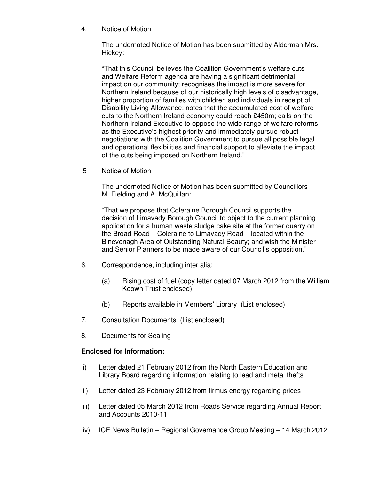4. Notice of Motion

The undernoted Notice of Motion has been submitted by Alderman Mrs. Hickey:

"That this Council believes the Coalition Government's welfare cuts and Welfare Reform agenda are having a significant detrimental impact on our community; recognises the impact is more severe for Northern Ireland because of our historically high levels of disadvantage, higher proportion of families with children and individuals in receipt of Disability Living Allowance; notes that the accumulated cost of welfare cuts to the Northern Ireland economy could reach £450m; calls on the Northern Ireland Executive to oppose the wide range of welfare reforms as the Executive's highest priority and immediately pursue robust negotiations with the Coalition Government to pursue all possible legal and operational flexibilities and financial support to alleviate the impact of the cuts being imposed on Northern Ireland."

5 Notice of Motion

 The undernoted Notice of Motion has been submitted by Councillors M. Fielding and A. McQuillan:

 "That we propose that Coleraine Borough Council supports the decision of Limavady Borough Council to object to the current planning application for a human waste sludge cake site at the former quarry on the Broad Road – Coleraine to Limavady Road – located within the Binevenagh Area of Outstanding Natural Beauty; and wish the Minister and Senior Planners to be made aware of our Council's opposition."

- 6. Correspondence, including inter alia:
	- (a) Rising cost of fuel (copy letter dated 07 March 2012 from the William Keown Trust enclosed).
	- (b) Reports available in Members' Library (List enclosed)
- 7. Consultation Documents (List enclosed)
- 8. Documents for Sealing

### **Enclosed for Information:**

- i) Letter dated 21 February 2012 from the North Eastern Education and Library Board regarding information relating to lead and metal thefts
- ii) Letter dated 23 February 2012 from firmus energy regarding prices
- iii) Letter dated 05 March 2012 from Roads Service regarding Annual Report and Accounts 2010-11
- iv) ICE News Bulletin Regional Governance Group Meeting 14 March 2012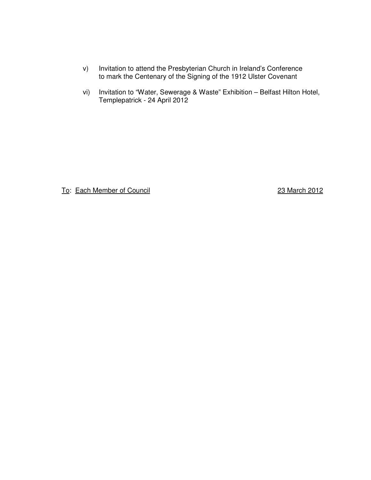- v) Invitation to attend the Presbyterian Church in Ireland's Conference to mark the Centenary of the Signing of the 1912 Ulster Covenant
- vi) Invitation to "Water, Sewerage & Waste" Exhibition Belfast Hilton Hotel, Templepatrick - 24 April 2012

To: Each Member of Council 23 March 2012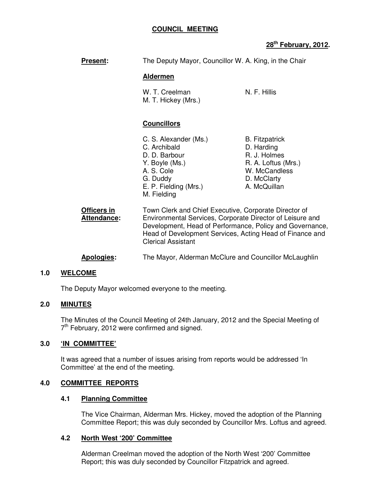## **COUNCIL MEETING**

# **28th February, 2012.**

| <b>Present:</b>            | The Deputy Mayor, Councillor W. A. King, in the Chair                                                                                                                                                                                                                   |                                                                                                                            |
|----------------------------|-------------------------------------------------------------------------------------------------------------------------------------------------------------------------------------------------------------------------------------------------------------------------|----------------------------------------------------------------------------------------------------------------------------|
|                            | <b>Aldermen</b>                                                                                                                                                                                                                                                         |                                                                                                                            |
|                            | W. T. Creelman<br>M. T. Hickey (Mrs.)                                                                                                                                                                                                                                   | N. F. Hillis                                                                                                               |
|                            | <b>Councillors</b>                                                                                                                                                                                                                                                      |                                                                                                                            |
|                            | C. S. Alexander (Ms.)<br>C. Archibald<br>D. D. Barbour<br>Y. Boyle (Ms.)<br>A. S. Cole<br>G. Duddy<br>E. P. Fielding (Mrs.)<br>M. Fielding                                                                                                                              | <b>B.</b> Fitzpatrick<br>D. Harding<br>R. J. Holmes<br>R. A. Loftus (Mrs.)<br>W. McCandless<br>D. McClarty<br>A. McQuillan |
| Officers in<br>Attendance: | Town Clerk and Chief Executive, Corporate Director of<br>Environmental Services, Corporate Director of Leisure and<br>Development, Head of Performance, Policy and Governance,<br>Head of Development Services, Acting Head of Finance and<br><b>Clerical Assistant</b> |                                                                                                                            |
|                            |                                                                                                                                                                                                                                                                         |                                                                                                                            |

# **Apologies:** The Mayor, Alderman McClure and Councillor McLaughlin

#### **1.0 WELCOME**

The Deputy Mayor welcomed everyone to the meeting.

# **2.0 MINUTES**

 The Minutes of the Council Meeting of 24th January, 2012 and the Special Meeting of 7<sup>th</sup> February, 2012 were confirmed and signed.

## **3.0 'IN COMMITTEE'**

It was agreed that a number of issues arising from reports would be addressed 'In Committee' at the end of the meeting.

### **4.0 COMMITTEE REPORTS**

#### **4.1 Planning Committee**

The Vice Chairman, Alderman Mrs. Hickey, moved the adoption of the Planning Committee Report; this was duly seconded by Councillor Mrs. Loftus and agreed.

### **4.2 North West '200' Committee**

Alderman Creelman moved the adoption of the North West '200' Committee Report; this was duly seconded by Councillor Fitzpatrick and agreed.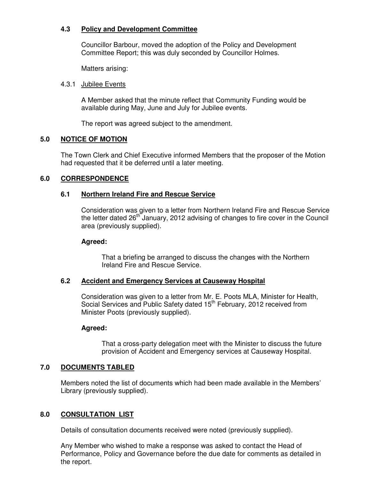## **4.3 Policy and Development Committee**

Councillor Barbour, moved the adoption of the Policy and Development Committee Report; this was duly seconded by Councillor Holmes.

Matters arising:

### 4.3.1 Jubilee Events

A Member asked that the minute reflect that Community Funding would be available during May, June and July for Jubilee events.

The report was agreed subject to the amendment.

### **5.0 NOTICE OF MOTION**

The Town Clerk and Chief Executive informed Members that the proposer of the Motion had requested that it be deferred until a later meeting.

### **6.0 CORRESPONDENCE**

### **6.1 Northern Ireland Fire and Rescue Service**

Consideration was given to a letter from Northern Ireland Fire and Rescue Service the letter dated 26<sup>th</sup> January, 2012 advising of changes to fire cover in the Council area (previously supplied).

#### **Agreed:**

That a briefing be arranged to discuss the changes with the Northern Ireland Fire and Rescue Service.

### **6.2 Accident and Emergency Services at Causeway Hospital**

Consideration was given to a letter from Mr. E. Poots MLA, Minister for Health, Social Services and Public Safety dated 15<sup>th</sup> February, 2012 received from Minister Poots (previously supplied).

### **Agreed:**

That a cross-party delegation meet with the Minister to discuss the future provision of Accident and Emergency services at Causeway Hospital.

### **7.0 DOCUMENTS TABLED**

 Members noted the list of documents which had been made available in the Members' Library (previously supplied).

### **8.0 CONSULTATION LIST**

Details of consultation documents received were noted (previously supplied).

 Any Member who wished to make a response was asked to contact the Head of Performance, Policy and Governance before the due date for comments as detailed in the report.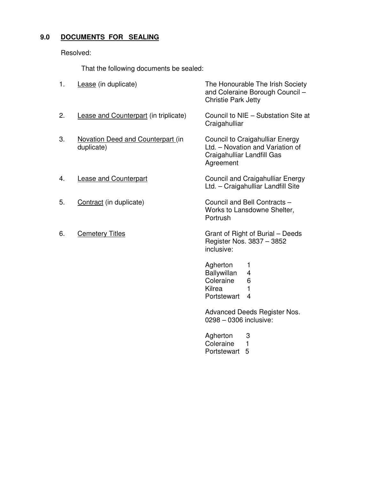# **9.0 DOCUMENTS FOR SEALING**

Resolved:

That the following documents be sealed:

| 1. | Lease (in duplicate)                                   | The Honourable The Irish Society<br>and Coleraine Borough Council -<br><b>Christie Park Jetty</b>                                                                                     |
|----|--------------------------------------------------------|---------------------------------------------------------------------------------------------------------------------------------------------------------------------------------------|
| 2. | Lease and Counterpart (in triplicate)                  | Council to NIE - Substation Site at<br>Craigahulliar                                                                                                                                  |
| 3. | <b>Novation Deed and Counterpart (in</b><br>duplicate) | Council to Craigahulliar Energy<br>Ltd. - Novation and Variation of<br>Craigahulliar Landfill Gas<br>Agreement                                                                        |
| 4. | <b>Lease and Counterpart</b>                           | Council and Craigahulliar Energy<br>Ltd. - Craigahulliar Landfill Site                                                                                                                |
| 5. | Contract (in duplicate)                                | Council and Bell Contracts -<br>Works to Lansdowne Shelter,<br>Portrush                                                                                                               |
| 6. | <b>Cemetery Titles</b>                                 | Grant of Right of Burial – Deeds<br>Register Nos. 3837 - 3852<br>inclusive:                                                                                                           |
|    |                                                        | Agherton<br>1<br><b>Ballywillan</b><br>4<br>Coleraine<br>6<br>Kilrea<br>1<br>Portstewart<br>$\overline{4}$<br>Advanced Deeds Register Nos.<br>0298 - 0306 inclusive:<br>Agherton<br>3 |
|    |                                                        | Coleraine<br>1                                                                                                                                                                        |

Portstewart 5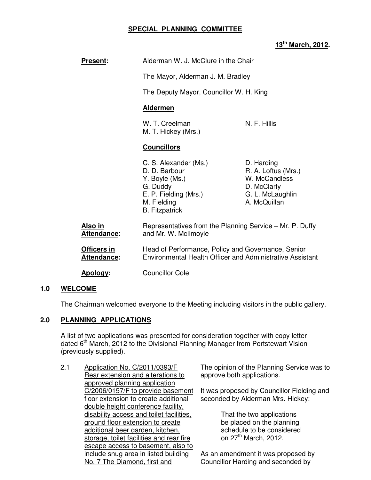## **SPECIAL PLANNING COMMITTEE**

# **13th March, 2012.**

| <b>Present:</b>               | Alderman W. J. McClure in the Chair                                                                                                   |                                                                                                       |
|-------------------------------|---------------------------------------------------------------------------------------------------------------------------------------|-------------------------------------------------------------------------------------------------------|
|                               | The Mayor, Alderman J. M. Bradley                                                                                                     |                                                                                                       |
|                               | The Deputy Mayor, Councillor W. H. King                                                                                               |                                                                                                       |
|                               | <b>Aldermen</b>                                                                                                                       |                                                                                                       |
|                               | W. T. Creelman<br>M. T. Hickey (Mrs.)                                                                                                 | N. F. Hillis                                                                                          |
|                               | <b>Councillors</b>                                                                                                                    |                                                                                                       |
|                               | C. S. Alexander (Ms.)<br>D. D. Barbour<br>Y. Boyle (Ms.)<br>G. Duddy<br>E. P. Fielding (Mrs.)<br>M. Fielding<br><b>B.</b> Fitzpatrick | D. Harding<br>R. A. Loftus (Mrs.)<br>W. McCandless<br>D. McClarty<br>G. L. McLaughlin<br>A. McQuillan |
| <u>Also in</u><br>Attendance: | Representatives from the Planning Service – Mr. P. Duffy<br>and Mr. W. McIlmoyle                                                      |                                                                                                       |
| Officers in<br>Attendance:    | Head of Performance, Policy and Governance, Senior<br>Environmental Health Officer and Administrative Assistant                       |                                                                                                       |
| <u>Apology:</u>               | <b>Councillor Cole</b>                                                                                                                |                                                                                                       |

### **1.0 WELCOME**

The Chairman welcomed everyone to the Meeting including visitors in the public gallery.

## **2.0 PLANNING APPLICATIONS**

 A list of two applications was presented for consideration together with copy letter dated  $6<sup>th</sup>$  March, 2012 to the Divisional Planning Manager from Portstewart Vision (previously supplied).

2.1 Application No. C/2011/0393/F Rear extension and alterations to approved planning application C/2006/0157/F to provide basement floor extension to create additional double height conference facility, disability access and toilet facilities, ground floor extension to create additional beer garden, kitchen, storage, toilet facilities and rear fire escape access to basement, also to include snug area in listed building No. 7 The Diamond, first and

The opinion of the Planning Service was to approve both applications.

It was proposed by Councillor Fielding and seconded by Alderman Mrs. Hickey:

> That the two applications be placed on the planning schedule to be considered on 27<sup>th</sup> March, 2012.

As an amendment it was proposed by Councillor Harding and seconded by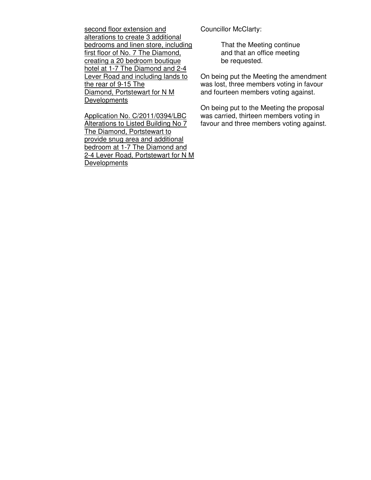second floor extension and alterations to create 3 additional bedrooms and linen store, including first floor of No. 7 The Diamond, creating a 20 bedroom boutique hotel at 1-7 The Diamond and 2-4 Lever Road and including lands to the rear of 9-15 The Diamond, Portstewart for N M **Developments** 

Application No. C/2011/0394/LBC Alterations to Listed Building No 7 The Diamond, Portstewart to provide snug area and additional bedroom at 1-7 The Diamond and 2-4 Lever Road, Portstewart for N M **Developments** 

Councillor McClarty:

 That the Meeting continue and that an office meeting be requested.

On being put the Meeting the amendment was lost, three members voting in favour and fourteen members voting against.

On being put to the Meeting the proposal was carried, thirteen members voting in favour and three members voting against.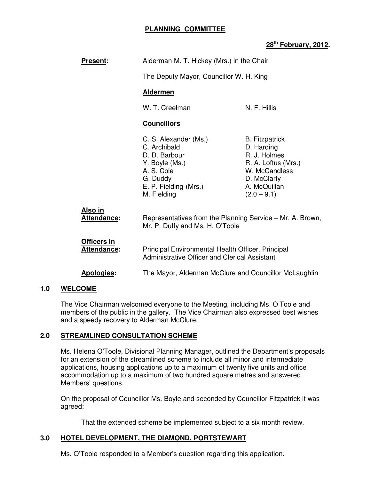## **PLANNING COMMITTEE**

# **28th February, 2012.**

| <b>Present:</b>                   | Alderman M. T. Hickey (Mrs.) in the Chair                                                                                                                   |                                                                                                                                             |
|-----------------------------------|-------------------------------------------------------------------------------------------------------------------------------------------------------------|---------------------------------------------------------------------------------------------------------------------------------------------|
|                                   | The Deputy Mayor, Councillor W. H. King                                                                                                                     |                                                                                                                                             |
|                                   | <b>Aldermen</b>                                                                                                                                             |                                                                                                                                             |
|                                   | W. T. Creelman                                                                                                                                              | N. F. Hillis                                                                                                                                |
|                                   | <b>Councillors</b>                                                                                                                                          |                                                                                                                                             |
|                                   | C. S. Alexander (Ms.)<br>C. Archibald<br>D. D. Barbour<br>Y. Boyle (Ms.)<br>A. S. Cole<br>G. Duddy<br>E. P. Fielding (Mrs.)<br>M. Fielding                  | <b>B.</b> Fitzpatrick<br>D. Harding<br>R. J. Holmes<br>R. A. Loftus (Mrs.)<br>W. McCandless<br>D. McClarty<br>A. McQuillan<br>$(2.0 - 9.1)$ |
| <u>Also in</u><br>Attendance:     | Representatives from the Planning Service - Mr. A. Brown,<br>Mr. P. Duffy and Ms. H. O'Toole                                                                |                                                                                                                                             |
| Officers in<br><b>Attendance:</b> | Principal Environmental Health Officer, Principal<br>Administrative Officer and Clerical Assistant<br>The Mayor, Alderman McClure and Councillor McLaughlin |                                                                                                                                             |
| Apologies:                        |                                                                                                                                                             |                                                                                                                                             |

### **1.0 WELCOME**

The Vice Chairman welcomed everyone to the Meeting, including Ms. O'Toole and members of the public in the gallery. The Vice Chairman also expressed best wishes and a speedy recovery to Alderman McClure.

### **2.0 STREAMLINED CONSULTATION SCHEME**

Ms. Helena O'Toole, Divisional Planning Manager, outlined the Department's proposals for an extension of the streamlined scheme to include all minor and intermediate applications, housing applications up to a maximum of twenty five units and office accommodation up to a maximum of two hundred square metres and answered Members' questions.

On the proposal of Councillor Ms. Boyle and seconded by Councillor Fitzpatrick it was agreed:

That the extended scheme be implemented subject to a six month review.

### **3.0 HOTEL DEVELOPMENT, THE DIAMOND, PORTSTEWART**

Ms. O'Toole responded to a Member's question regarding this application.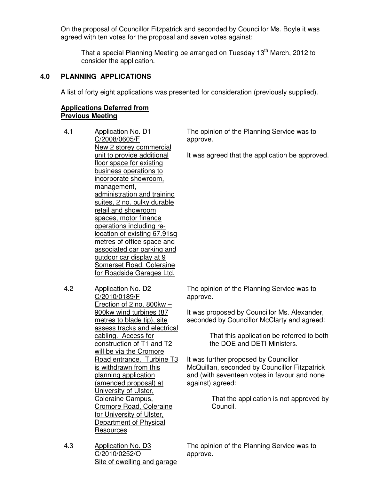On the proposal of Councillor Fitzpatrick and seconded by Councillor Ms. Boyle it was agreed with ten votes for the proposal and seven votes against:

That a special Planning Meeting be arranged on Tuesday 13<sup>th</sup> March, 2012 to consider the application.

## **4.0 PLANNING APPLICATIONS**

A list of forty eight applications was presented for consideration (previously supplied).

## **Applications Deferred from Previous Meeting**

- 4.1 Application No. D1 C/2008/0605/F New 2 storey commercial unit to provide additional floor space for existing business operations to incorporate showroom, management, administration and training suites, 2 no. bulky durable retail and showroom spaces, motor finance operations including relocation of existing 67.91sq metres of office space and associated car parking and outdoor car display at 9 Somerset Road, Coleraine for Roadside Garages Ltd.
- 4.2 Application No. D2 C/2010/0189/F Erection of 2 no. 800kw – 900kw wind turbines (87 metres to blade tip), site assess tracks and electrical cabling. Access for construction of T1 and T2 will be via the Cromore Road entrance. Turbine T3 is withdrawn from this planning application (amended proposal) at University of Ulster, Coleraine Campus, Cromore Road, Coleraine for University of Ulster, Department of Physical **Resources**

The opinion of the Planning Service was to approve.

It was agreed that the application be approved.

The opinion of the Planning Service was to approve.

It was proposed by Councillor Ms. Alexander, seconded by Councillor McClarty and agreed:

> That this application be referred to both the DOE and DETI Ministers.

It was further proposed by Councillor McQuillan, seconded by Councillor Fitzpatrick and (with seventeen votes in favour and none against) agreed:

> That the application is not approved by Council.

The opinion of the Planning Service was to approve.

4.3 Application No. D3 C/2010/0252/O Site of dwelling and garage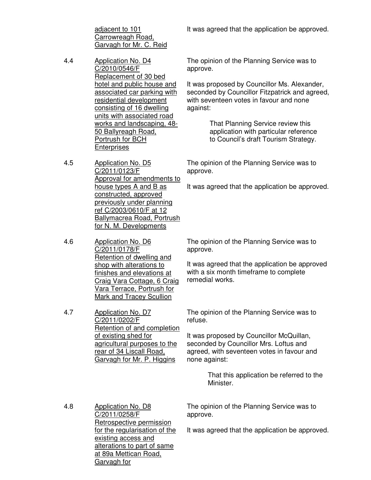adjacent to 101 Carrowreagh Road, Garvagh for Mr. C. Reid

- 4.4 Application No. D4 C/2010/0546/F Replacement of 30 bed hotel and public house and associated car parking with residential development consisting of 16 dwelling units with associated road works and landscaping, 48- 50 Ballyreagh Road, Portrush for BCH **Enterprises**
- 4.5 Application No. D5 C/2011/0123/F Approval for amendments to house types A and B as constructed, approved previously under planning ref C/2003/0610/F at 12 Ballymacrea Road, Portrush for N. M. Developments
- 4.6 Application No. D6 C/2011/0178/F Retention of dwelling and shop with alterations to finishes and elevations at Craig Vara Cottage, 6 Craig Vara Terrace, Portrush for Mark and Tracey Scullion

4.7 Application No. D7 C/2011/0202/F Retention of and completion of existing shed for agricultural purposes to the rear of 34 Liscall Road, Garvagh for Mr. P. Higgins

It was agreed that the application be approved.

The opinion of the Planning Service was to approve.

It was proposed by Councillor Ms. Alexander, seconded by Councillor Fitzpatrick and agreed, with seventeen votes in favour and none against:

> That Planning Service review this application with particular reference to Council's draft Tourism Strategy.

The opinion of the Planning Service was to approve.

It was agreed that the application be approved.

The opinion of the Planning Service was to approve.

It was agreed that the application be approved with a six month timeframe to complete remedial works.

The opinion of the Planning Service was to refuse.

It was proposed by Councillor McQuillan, seconded by Councillor Mrs. Loftus and agreed, with seventeen votes in favour and none against:

> That this application be referred to the Minister.

4.8 Application No. D8 C/2011/0258/F Retrospective permission for the regularisation of the existing access and alterations to part of same at 89a Mettican Road, Garvagh for

The opinion of the Planning Service was to approve.

It was agreed that the application be approved.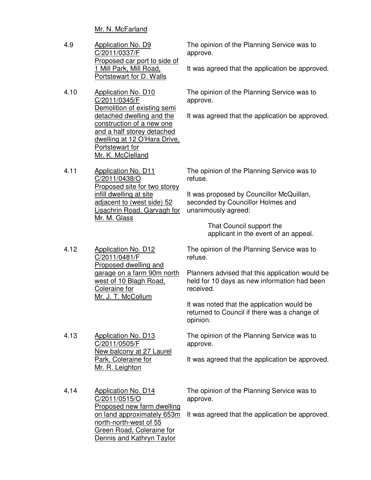Mr. N. McFarland

| 4.9 | Application No. D9           |  |  |
|-----|------------------------------|--|--|
|     | C/2011/0337/F                |  |  |
|     | Proposed car port to side of |  |  |
|     | 1 Mill Park, Mill Road,      |  |  |
|     | Portstewart for D. Walls     |  |  |
|     |                              |  |  |

4.10 Application No. D10 C/2011/0345/F Demolition of existing semi detached dwelling and the construction of a new one and a half storey detached dwelling at 12 O'Hara Drive, Portstewart for Mr. K. McClelland

4.11 Application No. D11 C/2011/0438/O Proposed site for two storey infill dwelling at site adjacent to (west side) 52 Lisachrin Road, Garvagh for Mr. M. Glass

The opinion of the Planning Service was to approve.

It was agreed that the application be approved.

The opinion of the Planning Service was to approve.

It was agreed that the application be approved.

The opinion of the Planning Service was to refuse.

It was proposed by Councillor McQuillan, seconded by Councillor Holmes and unanimously agreed:

> That Council support the applicant in the event of an appeal.

4.12 Application No. D12 C/2011/0481/F Proposed dwelling and garage on a farm 90m north west of 10 Blagh Road, Coleraine for The opinion of the Planning Service was to refuse. Planners advised that this application would be held for 10 days as new information had been received.

> It was noted that the application would be returned to Council if there was a change of opinion.

The opinion of the Planning Service was to approve.

It was agreed that the application be approved.

4.14 Application No. D14 C/2011/0515/O Proposed new farm dwelling on land approximately 653m north-north-west of 55 Green Road, Coleraine for Dennis and Kathryn Taylor

Park, Coleraine for Mr. R. Leighton

Mr. J. T. McCollum

New balcony at 27 Laurel

4.13 Application No. D13 C/2011/0505/F

> The opinion of the Planning Service was to approve.

It was agreed that the application be approved.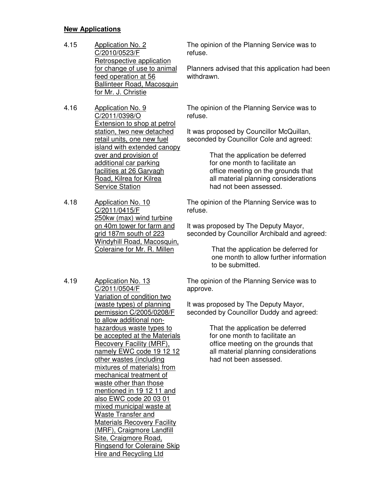## **New Applications**

- 4.15 Application No. 2 C/2010/0523/F Retrospective application for change of use to animal feed operation at 56 Ballinteer Road, Macosquin for Mr. J. Christie
- 4.16 Application No. 9 C/2011/0398/O Extension to shop at petrol station, two new detached retail units, one new fuel island with extended canopy over and provision of additional car parking facilities at 26 Garvagh Road, Kilrea for Kilrea Service Station
- 4.18 Application No. 10 C/2011/0415/F 250kw (max) wind turbine on 40m tower for farm and grid 187m south of 223 Windyhill Road, Macosquin, Coleraine for Mr. R. Millen
- 4.19 Application No. 13 C/2011/0504/F Variation of condition two (waste types) of planning permission C/2005/0208/F to allow additional nonhazardous waste types to be accepted at the Materials Recovery Facility (MRF), namely EWC code 19 12 12 other wastes (including mixtures of materials) from mechanical treatment of waste other than those mentioned in 19 12 11 and also EWC code 20 03 01 mixed municipal waste at Waste Transfer and Materials Recovery Facility (MRF), Craigmore Landfill Site, Craigmore Road, Ringsend for Coleraine Skip Hire and Recycling Ltd

The opinion of the Planning Service was to refuse.

Planners advised that this application had been withdrawn.

The opinion of the Planning Service was to refuse.

It was proposed by Councillor McQuillan, seconded by Councillor Cole and agreed:

> That the application be deferred for one month to facilitate an office meeting on the grounds that all material planning considerations had not been assessed.

The opinion of the Planning Service was to refuse.

It was proposed by The Deputy Mayor, seconded by Councillor Archibald and agreed:

> That the application be deferred for one month to allow further information to be submitted.

The opinion of the Planning Service was to approve.

It was proposed by The Deputy Mayor, seconded by Councillor Duddy and agreed:

> That the application be deferred for one month to facilitate an office meeting on the grounds that all material planning considerations had not been assessed.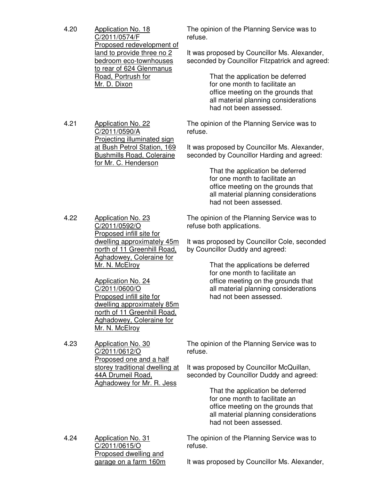| 4.20 | <b>Application No. 18</b><br>C/2011/0574/F<br>Proposed redevelopment of<br>land to provide three no 2<br>bedroom eco-townhouses<br>to rear of 624 Glenmanus<br>Road, Portrush for<br>Mr. D. Dixon   | The opinion of the Planning Service was to<br>refuse.<br>It was proposed by Councillor Ms. Alexander,<br>seconded by Councillor Fitzpatrick and agreed:<br>That the application be deferred<br>for one month to facilitate an |
|------|-----------------------------------------------------------------------------------------------------------------------------------------------------------------------------------------------------|-------------------------------------------------------------------------------------------------------------------------------------------------------------------------------------------------------------------------------|
|      |                                                                                                                                                                                                     | office meeting on the grounds that<br>all material planning considerations<br>had not been assessed.                                                                                                                          |
| 4.21 | <b>Application No. 22</b><br>C/2011/0590/A<br><b>Projecting illuminated sign</b>                                                                                                                    | The opinion of the Planning Service was to<br>refuse.                                                                                                                                                                         |
|      | at Bush Petrol Station, 169<br><b>Bushmills Road, Coleraine</b><br>for Mr. C. Henderson                                                                                                             | It was proposed by Councillor Ms. Alexander,<br>seconded by Councillor Harding and agreed:                                                                                                                                    |
|      |                                                                                                                                                                                                     | That the application be deferred<br>for one month to facilitate an<br>office meeting on the grounds that<br>all material planning considerations<br>had not been assessed.                                                    |
| 4.22 | <b>Application No. 23</b><br>C/2011/0592/O<br>Proposed infill site for                                                                                                                              | The opinion of the Planning Service was to<br>refuse both applications.                                                                                                                                                       |
|      | dwelling approximately 45m<br>north of 11 Greenhill Road,<br><b>Aghadowey, Coleraine for</b>                                                                                                        | It was proposed by Councillor Cole, seconded<br>by Councillor Duddy and agreed:                                                                                                                                               |
|      | Mr. N. McElroy<br>Application No. 24<br>C/2011/0600/O<br>Proposed infill site for<br>dwelling approximately 85m<br>north of 11 Greenhill Road,<br><b>Aghadowey, Coleraine for</b><br>Mr. N. McElroy | That the applications be deferred<br>for one month to facilitate an<br>office meeting on the grounds that<br>all material planning considerations<br>had not been assessed.                                                   |
| 4.23 | <b>Application No. 30</b><br>C/2011/0612/O<br>Proposed one and a half                                                                                                                               | The opinion of the Planning Service was to<br>refuse.                                                                                                                                                                         |
|      | storey traditional dwelling at<br>44A Drumeil Road,<br><b>Aghadowey for Mr. R. Jess</b>                                                                                                             | It was proposed by Councillor McQuillan,<br>seconded by Councillor Duddy and agreed:                                                                                                                                          |
|      |                                                                                                                                                                                                     | That the application be deferred<br>for one month to facilitate an<br>office meeting on the grounds that<br>all material planning considerations<br>had not been assessed.                                                    |
| 4.24 | <b>Application No. 31</b><br>C/2011/0615/O<br>Proposed dwelling and                                                                                                                                 | The opinion of the Planning Service was to<br>refuse.                                                                                                                                                                         |
|      | garage on a farm 160m                                                                                                                                                                               | It was proposed by Councillor Ms. Alexander,                                                                                                                                                                                  |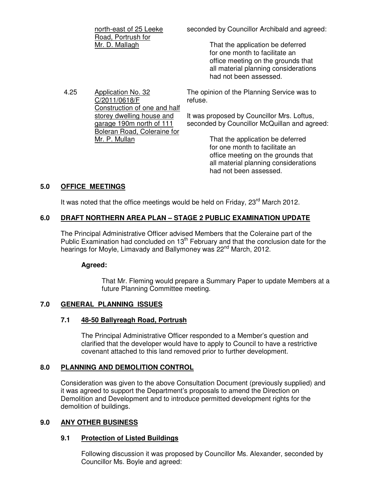| north-east of 25 Leeke<br>Road, Portrush for | seconded by Councillor Archibald and agreed:                                                                                                                               |
|----------------------------------------------|----------------------------------------------------------------------------------------------------------------------------------------------------------------------------|
| Mr. D. Mallagh                               | That the application be deferred<br>for one month to facilitate an<br>office meeting on the grounds that<br>all material planning considerations<br>had not been assessed. |

4.25 Application No. 32 C/2011/0618/F Construction of one and half storey dwelling house and garage 190m north of 111 Boleran Road, Coleraine for Mr. P. Mullan The opinion of the Planning Service was to refuse. It was proposed by Councillor Mrs. Loftus, seconded by Councillor McQuillan and agreed: That the application be deferred

 for one month to facilitate an office meeting on the grounds that all material planning considerations had not been assessed.

# **5.0 OFFICE MEETINGS**

It was noted that the office meetings would be held on Friday,  $23<sup>rd</sup>$  March 2012.

# **6.0 DRAFT NORTHERN AREA PLAN – STAGE 2 PUBLIC EXAMINATION UPDATE**

The Principal Administrative Officer advised Members that the Coleraine part of the Public Examination had concluded on 13<sup>th</sup> February and that the conclusion date for the hearings for Moyle, Limavady and Ballymoney was 22<sup>nd</sup> March, 2012.

# **Agreed:**

That Mr. Fleming would prepare a Summary Paper to update Members at a future Planning Committee meeting.

# **7.0 GENERAL PLANNING ISSUES**

# **7.1 48-50 Ballyreagh Road, Portrush**

The Principal Administrative Officer responded to a Member's question and clarified that the developer would have to apply to Council to have a restrictive covenant attached to this land removed prior to further development.

# **8.0 PLANNING AND DEMOLITION CONTROL**

Consideration was given to the above Consultation Document (previously supplied) and it was agreed to support the Department's proposals to amend the Direction on Demolition and Development and to introduce permitted development rights for the demolition of buildings.

# **9.0 ANY OTHER BUSINESS**

# **9.1 Protection of Listed Buildings**

Following discussion it was proposed by Councillor Ms. Alexander, seconded by Councillor Ms. Boyle and agreed: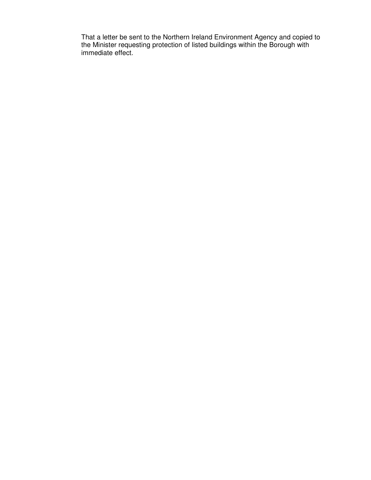That a letter be sent to the Northern Ireland Environment Agency and copied to the Minister requesting protection of listed buildings within the Borough with immediate effect.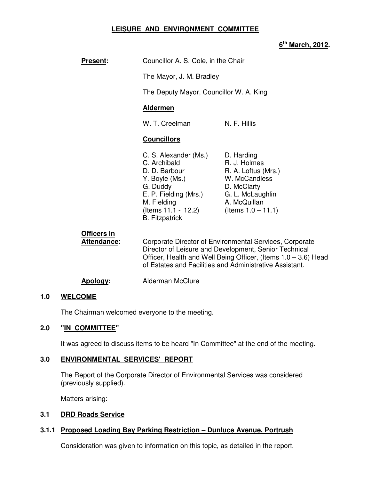# **LEISURE AND ENVIRONMENT COMMITTEE**

# **6 th March, 2012.**

| <b>Present:</b>                   |                                                                                                                                                                              | Councillor A. S. Cole, in the Chair                                                                                                            |  |
|-----------------------------------|------------------------------------------------------------------------------------------------------------------------------------------------------------------------------|------------------------------------------------------------------------------------------------------------------------------------------------|--|
|                                   |                                                                                                                                                                              | The Mayor, J. M. Bradley                                                                                                                       |  |
|                                   |                                                                                                                                                                              | The Deputy Mayor, Councillor W. A. King                                                                                                        |  |
|                                   | <b>Aldermen</b>                                                                                                                                                              |                                                                                                                                                |  |
|                                   | W. T. Creelman                                                                                                                                                               | N. F. Hillis                                                                                                                                   |  |
|                                   | <b>Councillors</b>                                                                                                                                                           |                                                                                                                                                |  |
|                                   | C. S. Alexander (Ms.)<br>C. Archibald<br>D. D. Barbour<br>Y. Boyle (Ms.)<br>G. Duddy<br>E. P. Fielding (Mrs.)<br>M. Fielding<br>(Items 11.1 - 12.2)<br><b>B.</b> Fitzpatrick | D. Harding<br>R. J. Holmes<br>R. A. Loftus (Mrs.)<br>W. McCandless<br>D. McClarty<br>G. L. McLaughlin<br>A. McQuillan<br>(Items $1.0 - 11.1$ ) |  |
| Officers in<br><b>Attendance:</b> | Corporate Director of Environmental Services,<br>Director of Leisure and Development. Senior T                                                                               |                                                                                                                                                |  |

**Corporate** Technical Officer, Health and Well Being Officer, (Items 1.0 – 3.6) Head of Estates and Facilities and Administrative Assistant.

#### Apology: Alderman McClure

#### **1.0 WELCOME**

The Chairman welcomed everyone to the meeting.

#### **2.0 "IN COMMITTEE"**

It was agreed to discuss items to be heard "In Committee" at the end of the meeting.

#### **3.0 ENVIRONMENTAL SERVICES' REPORT**

 The Report of the Corporate Director of Environmental Services was considered (previously supplied).

Matters arising:

#### **3.1 DRD Roads Service**

#### **3.1.1 Proposed Loading Bay Parking Restriction – Dunluce Avenue, Portrush**

Consideration was given to information on this topic, as detailed in the report.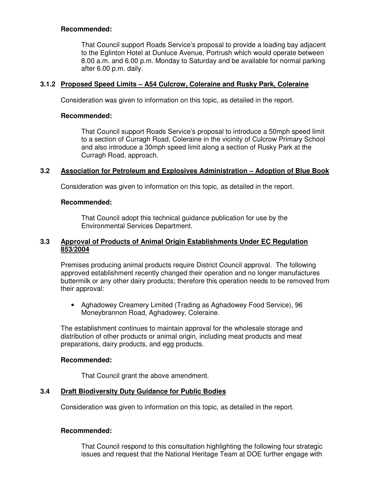## **Recommended:**

That Council support Roads Service's proposal to provide a loading bay adjacent to the Eglinton Hotel at Dunluce Avenue, Portrush which would operate between 8.00 a.m. and 6.00 p.m. Monday to Saturday and be available for normal parking after 6.00 p.m. daily.

## **3.1.2 Proposed Speed Limits – A54 Culcrow, Coleraine and Rusky Park, Coleraine**

Consideration was given to information on this topic, as detailed in the report.

## **Recommended:**

That Council support Roads Service's proposal to introduce a 50mph speed limit to a section of Curragh Road, Coleraine in the vicinity of Culcrow Primary School and also introduce a 30mph speed limit along a section of Rusky Park at the Curragh Road, approach.

## **3.2 Association for Petroleum and Explosives Administration – Adoption of Blue Book**

Consideration was given to information on this topic, as detailed in the report.

### **Recommended:**

That Council adopt this technical guidance publication for use by the Environmental Services Department.

### **3.3 Approval of Products of Animal Origin Establishments Under EC Regulation 853/2004**

Premises producing animal products require District Council approval. The following approved establishment recently changed their operation and no longer manufactures buttermilk or any other dairy products; therefore this operation needs to be removed from their approval:

• Aghadowey Creamery Limited (Trading as Aghadowey Food Service), 96 Moneybrannon Road, Aghadowey, Coleraine.

The establishment continues to maintain approval for the wholesale storage and distribution of other products or animal origin, including meat products and meat preparations, dairy products, and egg products.

### **Recommended:**

That Council grant the above amendment.

# **3.4 Draft Biodiversity Duty Guidance for Public Bodies**

Consideration was given to information on this topic, as detailed in the report.

### **Recommended:**

That Council respond to this consultation highlighting the following four strategic issues and request that the National Heritage Team at DOE further engage with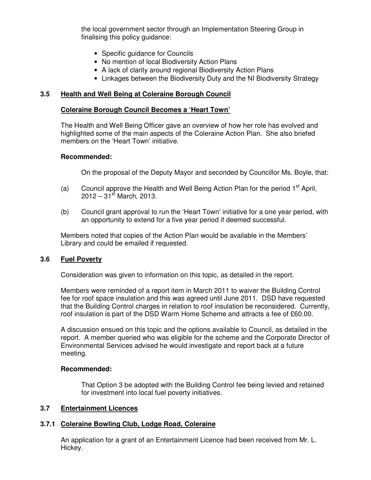the local government sector through an Implementation Steering Group in finalising this policy guidance:

- Specific guidance for Councils
- No mention of local Biodiversity Action Plans
- A lack of clarity around regional Biodiversity Action Plans
- Linkages between the Biodiversity Duty and the NI Biodiversity Strategy

## **3.5 Health and Well Being at Coleraine Borough Council**

#### **Coleraine Borough Council Becomes a 'Heart Town'**

The Health and Well Being Officer gave an overview of how her role has evolved and highlighted some of the main aspects of the Coleraine Action Plan. She also briefed members on the 'Heart Town' initiative.

#### **Recommended:**

On the proposal of the Deputy Mayor and seconded by Councillor Ms. Boyle, that:

- (a) Council approve the Health and Well Being Action Plan for the period  $1<sup>st</sup>$  April,  $2012 - 31$ <sup>st</sup> March, 2013.
- (b) Council grant approval to run the 'Heart Town' initiative for a one year period, with an opportunity to extend for a five year period if deemed successful.

Members noted that copies of the Action Plan would be available in the Members' Library and could be emailed if requested.

### **3.6 Fuel Poverty**

Consideration was given to information on this topic, as detailed in the report.

Members were reminded of a report item in March 2011 to waiver the Building Control fee for roof space insulation and this was agreed until June 2011. DSD have requested that the Building Control charges in relation to roof insulation be reconsidered. Currently, roof insulation is part of the DSD Warm Home Scheme and attracts a fee of £60.00.

A discussion ensued on this topic and the options available to Council, as detailed in the report. A member queried who was eligible for the scheme and the Corporate Director of Environmental Services advised he would investigate and report back at a future meeting.

### **Recommended:**

That Option 3 be adopted with the Building Control fee being levied and retained for investment into local fuel poverty initiatives.

### **3.7 Entertainment Licences**

### **3.7.1 Coleraine Bowling Club, Lodge Road, Coleraine**

An application for a grant of an Entertainment Licence had been received from Mr. L. Hickey.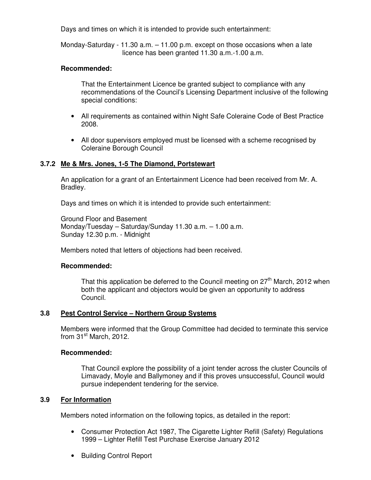Days and times on which it is intended to provide such entertainment:

 Monday-Saturday - 11.30 a.m. – 11.00 p.m. except on those occasions when a late licence has been granted 11.30 a.m.-1.00 a.m.

#### **Recommended:**

That the Entertainment Licence be granted subject to compliance with any recommendations of the Council's Licensing Department inclusive of the following special conditions:

- All requirements as contained within Night Safe Coleraine Code of Best Practice 2008.
- All door supervisors employed must be licensed with a scheme recognised by Coleraine Borough Council

#### **3.7.2 Me & Mrs. Jones, 1-5 The Diamond, Portstewart**

An application for a grant of an Entertainment Licence had been received from Mr. A. Bradley.

Days and times on which it is intended to provide such entertainment:

 Ground Floor and Basement Monday/Tuesday – Saturday/Sunday 11.30 a.m. – 1.00 a.m. Sunday 12.30 p.m. - Midnight

Members noted that letters of objections had been received.

#### **Recommended:**

That this application be deferred to the Council meeting on  $27<sup>th</sup>$  March, 2012 when both the applicant and objectors would be given an opportunity to address Council.

### **3.8 Pest Control Service – Northern Group Systems**

Members were informed that the Group Committee had decided to terminate this service from 31<sup>st</sup> March, 2012.

#### **Recommended:**

That Council explore the possibility of a joint tender across the cluster Councils of Limavady, Moyle and Ballymoney and if this proves unsuccessful, Council would pursue independent tendering for the service.

#### **3.9 For Information**

Members noted information on the following topics, as detailed in the report:

- Consumer Protection Act 1987, The Cigarette Lighter Refill (Safety) Regulations 1999 – Lighter Refill Test Purchase Exercise January 2012
- Building Control Report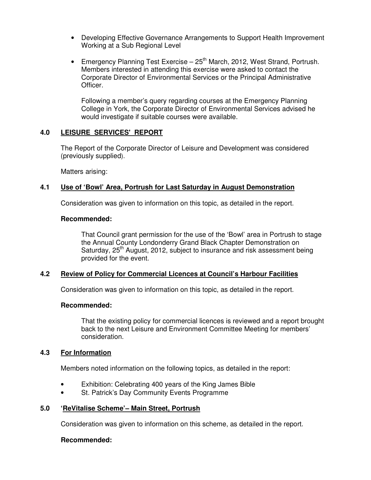- Developing Effective Governance Arrangements to Support Health Improvement Working at a Sub Regional Level
- Emergency Planning Test Exercise  $-25<sup>th</sup>$  March, 2012, West Strand, Portrush. Members interested in attending this exercise were asked to contact the Corporate Director of Environmental Services or the Principal Administrative Officer.

Following a member's query regarding courses at the Emergency Planning College in York, the Corporate Director of Environmental Services advised he would investigate if suitable courses were available.

## **4.0 LEISURE SERVICES' REPORT**

 The Report of the Corporate Director of Leisure and Development was considered (previously supplied).

Matters arising:

## **4.1 Use of 'Bowl' Area, Portrush for Last Saturday in August Demonstration**

Consideration was given to information on this topic, as detailed in the report.

#### **Recommended:**

That Council grant permission for the use of the 'Bowl' area in Portrush to stage the Annual County Londonderry Grand Black Chapter Demonstration on Saturday, 25<sup>th</sup> August, 2012, subject to insurance and risk assessment being provided for the event.

### **4.2 Review of Policy for Commercial Licences at Council's Harbour Facilities**

Consideration was given to information on this topic, as detailed in the report.

### **Recommended:**

That the existing policy for commercial licences is reviewed and a report brought back to the next Leisure and Environment Committee Meeting for members' consideration.

### **4.3 For Information**

Members noted information on the following topics, as detailed in the report:

- Exhibition: Celebrating 400 years of the King James Bible
- St. Patrick's Day Community Events Programme

### **5.0 'ReVitalise Scheme'– Main Street, Portrush**

Consideration was given to information on this scheme, as detailed in the report.

### **Recommended:**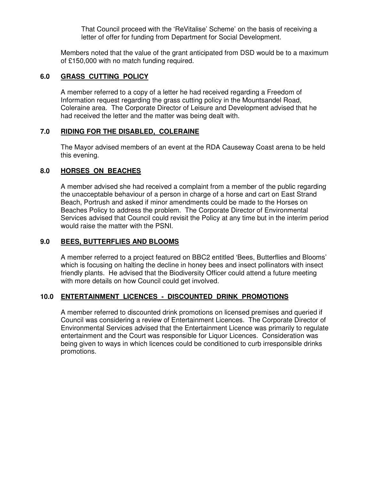That Council proceed with the 'ReVitalise' Scheme' on the basis of receiving a letter of offer for funding from Department for Social Development.

Members noted that the value of the grant anticipated from DSD would be to a maximum of £150,000 with no match funding required.

## **6.0 GRASS CUTTING POLICY**

A member referred to a copy of a letter he had received regarding a Freedom of Information request regarding the grass cutting policy in the Mountsandel Road, Coleraine area. The Corporate Director of Leisure and Development advised that he had received the letter and the matter was being dealt with.

## **7.0 RIDING FOR THE DISABLED, COLERAINE**

The Mayor advised members of an event at the RDA Causeway Coast arena to be held this evening.

## **8.0 HORSES ON BEACHES**

A member advised she had received a complaint from a member of the public regarding the unacceptable behaviour of a person in charge of a horse and cart on East Strand Beach, Portrush and asked if minor amendments could be made to the Horses on Beaches Policy to address the problem. The Corporate Director of Environmental Services advised that Council could revisit the Policy at any time but in the interim period would raise the matter with the PSNI.

## **9.0 BEES, BUTTERFLIES AND BLOOMS**

A member referred to a project featured on BBC2 entitled 'Bees, Butterflies and Blooms' which is focusing on halting the decline in honey bees and insect pollinators with insect friendly plants. He advised that the Biodiversity Officer could attend a future meeting with more details on how Council could get involved.

# **10.0 ENTERTAINMENT LICENCES - DISCOUNTED DRINK PROMOTIONS**

A member referred to discounted drink promotions on licensed premises and queried if Council was considering a review of Entertainment Licences. The Corporate Director of Environmental Services advised that the Entertainment Licence was primarily to regulate entertainment and the Court was responsible for Liquor Licences. Consideration was being given to ways in which licences could be conditioned to curb irresponsible drinks promotions.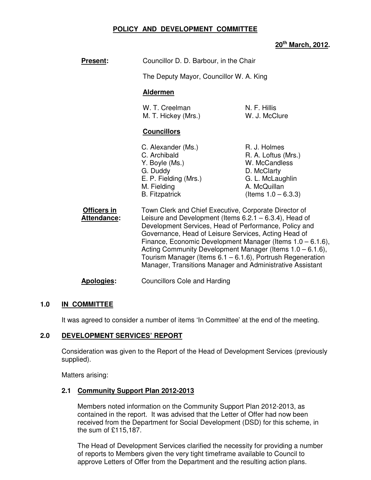## **POLICY AND DEVELOPMENT COMMITTEE**

# **20th March, 2012.**

| <b>Present:</b>                   | Councillor D. D. Barbour, in the Chair                                                                                                                                                                                                                                                                                                                                                                                                                                                             |                                                                                                                                   |  |
|-----------------------------------|----------------------------------------------------------------------------------------------------------------------------------------------------------------------------------------------------------------------------------------------------------------------------------------------------------------------------------------------------------------------------------------------------------------------------------------------------------------------------------------------------|-----------------------------------------------------------------------------------------------------------------------------------|--|
|                                   |                                                                                                                                                                                                                                                                                                                                                                                                                                                                                                    | The Deputy Mayor, Councillor W. A. King                                                                                           |  |
|                                   | <b>Aldermen</b>                                                                                                                                                                                                                                                                                                                                                                                                                                                                                    |                                                                                                                                   |  |
|                                   | W. T. Creelman<br>M. T. Hickey (Mrs.)                                                                                                                                                                                                                                                                                                                                                                                                                                                              | N. F. Hillis<br>W. J. McClure                                                                                                     |  |
|                                   | <b>Councillors</b>                                                                                                                                                                                                                                                                                                                                                                                                                                                                                 |                                                                                                                                   |  |
|                                   | C. Alexander (Ms.)<br>C. Archibald<br>Y. Boyle (Ms.)<br>G. Duddy<br>E. P. Fielding (Mrs.)<br>M. Fielding<br><b>B.</b> Fitzpatrick                                                                                                                                                                                                                                                                                                                                                                  | R. J. Holmes<br>R. A. Loftus (Mrs.)<br>W. McCandless<br>D. McClarty<br>G. L. McLaughlin<br>A. McQuillan<br>(Items $1.0 - 6.3.3$ ) |  |
| Officers in<br><b>Attendance:</b> | Town Clerk and Chief Executive, Corporate Director of<br>Leisure and Development (Items $6.2.1 - 6.3.4$ ), Head of<br>Development Services, Head of Performance, Policy and<br>Governance, Head of Leisure Services, Acting Head of<br>Finance, Economic Development Manager (Items $1.0 - 6.1.6$ ),<br>Acting Community Development Manager (Items $1.0 - 6.1.6$ ),<br>Tourism Manager (Items $6.1 - 6.1.6$ ), Portrush Regeneration<br>Manager, Transitions Manager and Administrative Assistant |                                                                                                                                   |  |
| <b>Apologies:</b>                 | <b>Councillors Cole and Harding</b>                                                                                                                                                                                                                                                                                                                                                                                                                                                                |                                                                                                                                   |  |

### **1.0 IN COMMITTEE**

It was agreed to consider a number of items 'In Committee' at the end of the meeting.

### **2.0 DEVELOPMENT SERVICES' REPORT**

 Consideration was given to the Report of the Head of Development Services (previously supplied).

Matters arising:

### **2.1 Community Support Plan 2012-2013**

Members noted information on the Community Support Plan 2012-2013, as contained in the report. It was advised that the Letter of Offer had now been received from the Department for Social Development (DSD) for this scheme, in the sum of £115,187.

The Head of Development Services clarified the necessity for providing a number of reports to Members given the very tight timeframe available to Council to approve Letters of Offer from the Department and the resulting action plans.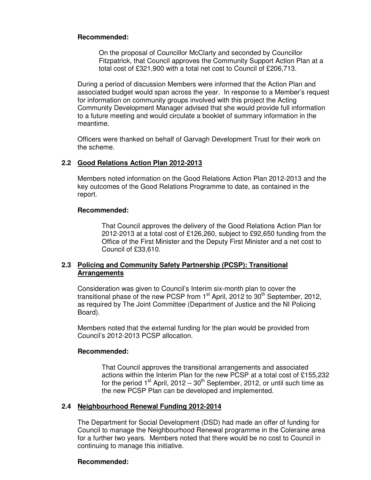### **Recommended:**

 On the proposal of Councillor McClarty and seconded by Councillor Fitzpatrick, that Council approves the Community Support Action Plan at a total cost of £321,900 with a total net cost to Council of £206,713.

During a period of discussion Members were informed that the Action Plan and associated budget would span across the year. In response to a Member's request for information on community groups involved with this project the Acting Community Development Manager advised that she would provide full information to a future meeting and would circulate a booklet of summary information in the meantime.

Officers were thanked on behalf of Garvagh Development Trust for their work on the scheme.

### **2.2 Good Relations Action Plan 2012-2013**

Members noted information on the Good Relations Action Plan 2012-2013 and the key outcomes of the Good Relations Programme to date, as contained in the report.

#### **Recommended:**

 That Council approves the delivery of the Good Relations Action Plan for 2012-2013 at a total cost of £126,260, subject to £92,650 funding from the Office of the First Minister and the Deputy First Minister and a net cost to Council of £33,610.

## **2.3 Policing and Community Safety Partnership (PCSP): Transitional Arrangements**

Consideration was given to Council's Interim six-month plan to cover the transitional phase of the new PCSP from  $1<sup>st</sup>$  April, 2012 to 30<sup>th</sup> September, 2012, as required by The Joint Committee (Department of Justice and the NI Policing Board).

 Members noted that the external funding for the plan would be provided from Council's 2012-2013 PCSP allocation.

#### **Recommended:**

That Council approves the transitional arrangements and associated actions within the Interim Plan for the new PCSP at a total cost of £155,232 for the period  $1^{st}$  April, 2012 – 30<sup>th</sup> September, 2012, or until such time as the new PCSP Plan can be developed and implemented.

### **2.4 Neighbourhood Renewal Funding 2012-2014**

The Department for Social Development (DSD) had made an offer of funding for Council to manage the Neighbourhood Renewal programme in the Coleraine area for a further two years. Members noted that there would be no cost to Council in continuing to manage this initiative.

#### **Recommended:**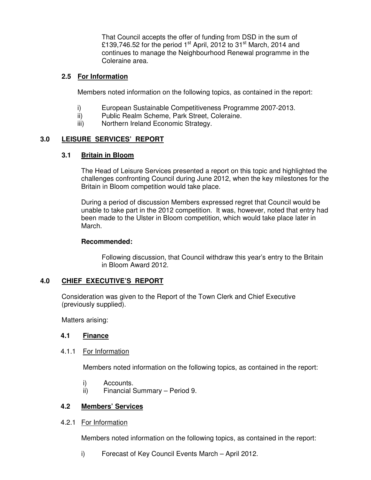That Council accepts the offer of funding from DSD in the sum of £139,746.52 for the period 1<sup>st</sup> April, 2012 to 31<sup>st</sup> March, 2014 and continues to manage the Neighbourhood Renewal programme in the Coleraine area.

## **2.5 For Information**

Members noted information on the following topics, as contained in the report:

- i) European Sustainable Competitiveness Programme 2007-2013.
- ii) Public Realm Scheme, Park Street, Coleraine.
- iii) Northern Ireland Economic Strategy.

## **3.0 LEISURE SERVICES' REPORT**

### **3.1 Britain in Bloom**

The Head of Leisure Services presented a report on this topic and highlighted the challenges confronting Council during June 2012, when the key milestones for the Britain in Bloom competition would take place.

 During a period of discussion Members expressed regret that Council would be unable to take part in the 2012 competition. It was, however, noted that entry had been made to the Ulster in Bloom competition, which would take place later in March.

### **Recommended:**

Following discussion, that Council withdraw this year's entry to the Britain in Bloom Award 2012.

# **4.0 CHIEF EXECUTIVE'S REPORT**

 Consideration was given to the Report of the Town Clerk and Chief Executive (previously supplied).

Matters arising:

### **4.1 Finance**

4.1.1 For Information

Members noted information on the following topics, as contained in the report:

- i) Accounts.
- ii) Financial Summary Period 9.

# **4.2 Members' Services**

4.2.1 For Information

Members noted information on the following topics, as contained in the report:

i) Forecast of Key Council Events March – April 2012.